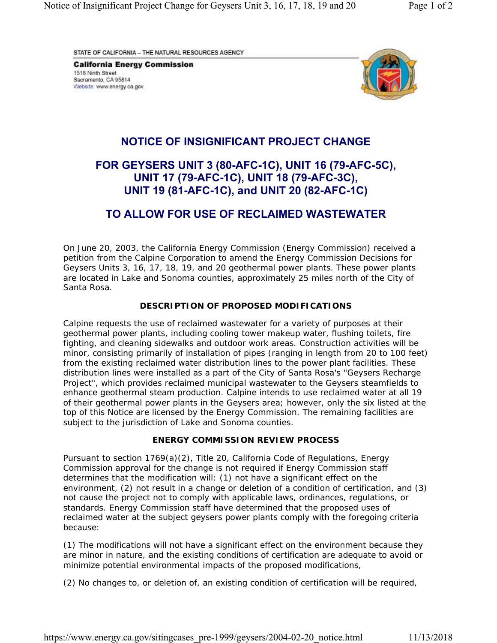STATE OF CALIFORNIA - THE NATURAL RESOURCES AGENCY

**California Energy Commission** 1516 Ninth Street Sacramento, CA 95814 Website: www.energy.ca.gov



## **NOTICE OF INSIGNIFICANT PROJECT CHANGE**

# **FOR GEYSERS UNIT 3 (80-AFC-1C), UNIT 16 (79-AFC-5C), UNIT 17 (79-AFC-1C), UNIT 18 (79-AFC-3C), UNIT 19 (81-AFC-1C), and UNIT 20 (82-AFC-1C)**

### **TO ALLOW FOR USE OF RECLAIMED WASTEWATER**

On June 20, 2003, the California Energy Commission (Energy Commission) received a petition from the Calpine Corporation to amend the Energy Commission Decisions for Geysers Units 3, 16, 17, 18, 19, and 20 geothermal power plants. These power plants are located in Lake and Sonoma counties, approximately 25 miles north of the City of Santa Rosa.

### **DESCRIPTION OF PROPOSED MODIFICATIONS**

Calpine requests the use of reclaimed wastewater for a variety of purposes at their geothermal power plants, including cooling tower makeup water, flushing toilets, fire fighting, and cleaning sidewalks and outdoor work areas. Construction activities will be minor, consisting primarily of installation of pipes (ranging in length from 20 to 100 feet) from the existing reclaimed water distribution lines to the power plant facilities. These distribution lines were installed as a part of the City of Santa Rosa's "Geysers Recharge Project", which provides reclaimed municipal wastewater to the Geysers steamfields to enhance geothermal steam production. Calpine intends to use reclaimed water at all 19 of their geothermal power plants in the Geysers area; however, only the six listed at the top of this Notice are licensed by the Energy Commission. The remaining facilities are subject to the jurisdiction of Lake and Sonoma counties.

### **ENERGY COMMISSION REVIEW PROCESS**

Pursuant to section 1769(a)(2), Title 20, California Code of Regulations, Energy Commission approval for the change is not required if Energy Commission staff determines that the modification will: (1) not have a significant effect on the environment, (2) not result in a change or deletion of a condition of certification, and (3) not cause the project not to comply with applicable laws, ordinances, regulations, or standards. Energy Commission staff have determined that the proposed uses of reclaimed water at the subject geysers power plants comply with the foregoing criteria because:

(1) The modifications will not have a significant effect on the environment because they are minor in nature, and the existing conditions of certification are adequate to avoid or minimize potential environmental impacts of the proposed modifications,

(2) No changes to, or deletion of, an existing condition of certification will be required,